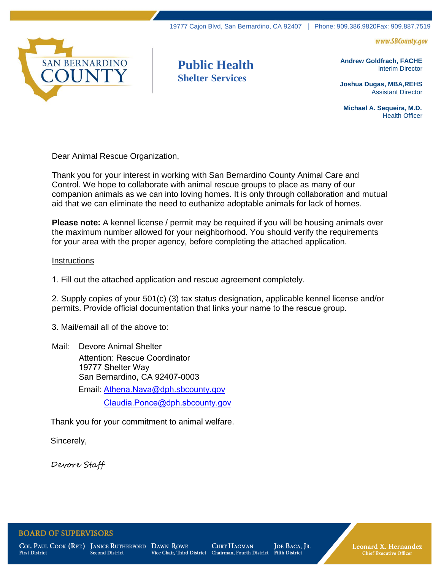

## **Public Health Shelter Services**

**Andrew Goldfrach, FACHE**

Interim Director

www.SBCounty.gov

**Joshua Dugas, MBA,REHS** Assistant Director

 **Michael A. Sequeira, M.D.** Health Officer

Dear Animal Rescue Organization,

Thank you for your interest in working with San Bernardino County Animal Care and Control. We hope to collaborate with animal rescue groups to place as many of our companion animals as we can into loving homes. It is only through collaboration and mutual aid that we can eliminate the need to euthanize adoptable animals for lack of homes.

**Please note:** A kennel license / permit may be required if you will be housing animals over the maximum number allowed for your neighborhood. You should verify the requirements for your area with the proper agency, before completing the attached application.

## **Instructions**

1. Fill out the attached application and rescue agreement completely.

2. Supply copies of your 501(c) (3) tax status designation, applicable kennel license and/or permits. Provide official documentation that links your name to the rescue group.

3. Mail/email all of the above to:

Mail: Devore Animal Shelter Attention: Rescue Coordinator 19777 Shelter Way San Bernardino, CA 92407-0003 Email: Athena.Nava@dph.sbcoun[ty.gov](file:///C:/Users/i2247/AppData/Local/Microsoft/Windows/INetCache/Content.Outlook/KP0MJ03O/Deborah.Bryan@dph.sbcounty.gov) Claudia.Ponce@dph.sbcounty.gov

Thank you for your commitment to animal welfare.

Sincerely,

Devore Staff

## **BOARD OF SUPERVISORS**

**First District** 

COL. PAUL COOK (RET.) JANICE RUTHERFORD DAWN ROWE Second District

**CURT HAGMAN** Vice Chair, Third District Chairman, Fourth District

JOE BACA, JR. **Fifth District** 

Leonard X. Hernandez **Chief Executive Officer**